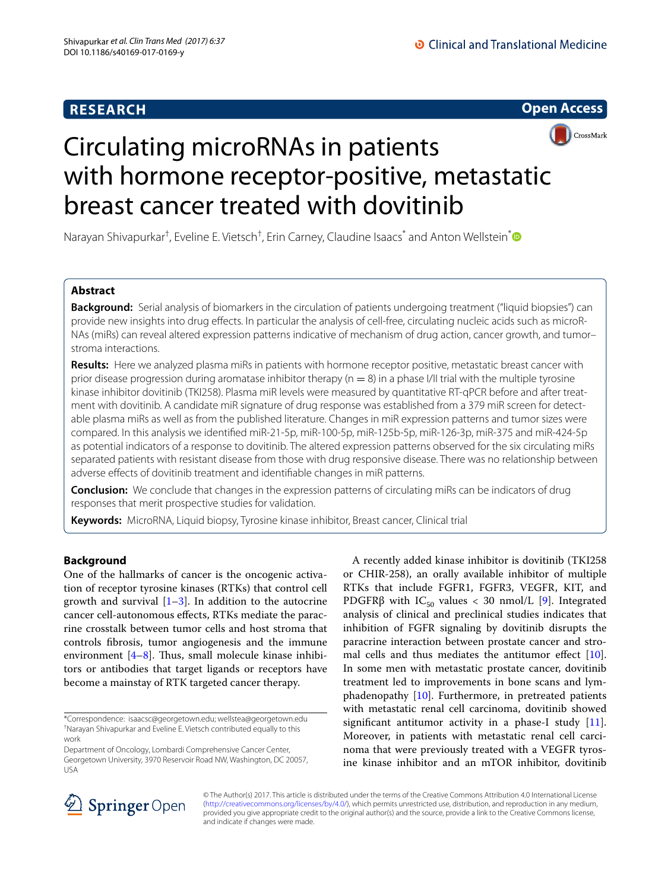# **RESEARCH**





# Circulating microRNAs in patients with hormone receptor-positive, metastatic breast cancer treated with dovitinib

Narayan Shivapurkar<sup>†</sup>, Eveline E. Vietsch<sup>†</sup>, Erin Carney, Claudine Isaacs<sup>[\\*](http://orcid.org/0000-0002-0570-4950)</sup> and Anton Wellstein<sup>\*</sup>

# **Abstract**

**Background:** Serial analysis of biomarkers in the circulation of patients undergoing treatment ("liquid biopsies") can provide new insights into drug efects. In particular the analysis of cell-free, circulating nucleic acids such as microR-NAs (miRs) can reveal altered expression patterns indicative of mechanism of drug action, cancer growth, and tumor– stroma interactions.

**Results:** Here we analyzed plasma miRs in patients with hormone receptor positive, metastatic breast cancer with prior disease progression during aromatase inhibitor therapy ( $n = 8$ ) in a phase I/II trial with the multiple tyrosine kinase inhibitor dovitinib (TKI258). Plasma miR levels were measured by quantitative RT-qPCR before and after treatment with dovitinib. A candidate miR signature of drug response was established from a 379 miR screen for detectable plasma miRs as well as from the published literature. Changes in miR expression patterns and tumor sizes were compared. In this analysis we identifed miR-21-5p, miR-100-5p, miR-125b-5p, miR-126-3p, miR-375 and miR-424-5p as potential indicators of a response to dovitinib. The altered expression patterns observed for the six circulating miRs separated patients with resistant disease from those with drug responsive disease. There was no relationship between adverse efects of dovitinib treatment and identifable changes in miR patterns.

**Conclusion:** We conclude that changes in the expression patterns of circulating miRs can be indicators of drug responses that merit prospective studies for validation.

**Keywords:** MicroRNA, Liquid biopsy, Tyrosine kinase inhibitor, Breast cancer, Clinical trial

# **Background**

One of the hallmarks of cancer is the oncogenic activation of receptor tyrosine kinases (RTKs) that control cell growth and survival  $[1-3]$  $[1-3]$  $[1-3]$ . In addition to the autocrine cancer cell-autonomous efects, RTKs mediate the paracrine crosstalk between tumor cells and host stroma that controls fbrosis, tumor angiogenesis and the immune environment  $[4-8]$  $[4-8]$ . Thus, small molecule kinase inhibitors or antibodies that target ligands or receptors have become a mainstay of RTK targeted cancer therapy.

Department of Oncology, Lombardi Comprehensive Cancer Center, Georgetown University, 3970 Reservoir Road NW, Washington, DC 20057, USA

A recently added kinase inhibitor is dovitinib (TKI258 or CHIR-258), an orally available inhibitor of multiple RTKs that include FGFR1, FGFR3, VEGFR, KIT, and PDGFR $\beta$  with IC<sub>50</sub> values < 30 nmol/L [\[9](#page-8-4)]. Integrated analysis of clinical and preclinical studies indicates that inhibition of FGFR signaling by dovitinib disrupts the paracrine interaction between prostate cancer and stromal cells and thus mediates the antitumor effect  $[10]$  $[10]$ . In some men with metastatic prostate cancer, dovitinib treatment led to improvements in bone scans and lymphadenopathy [[10\]](#page-8-5). Furthermore, in pretreated patients with metastatic renal cell carcinoma, dovitinib showed significant antitumor activity in a phase-I study  $[11]$  $[11]$ . Moreover, in patients with metastatic renal cell carcinoma that were previously treated with a VEGFR tyrosine kinase inhibitor and an mTOR inhibitor, dovitinib



© The Author(s) 2017. This article is distributed under the terms of the Creative Commons Attribution 4.0 International License [\(http://creativecommons.org/licenses/by/4.0/\)](http://creativecommons.org/licenses/by/4.0/), which permits unrestricted use, distribution, and reproduction in any medium, provided you give appropriate credit to the original author(s) and the source, provide a link to the Creative Commons license, and indicate if changes were made.

<sup>\*</sup>Correspondence: isaacsc@georgetown.edu; wellstea@georgetown.edu † Narayan Shivapurkar and Eveline E. Vietsch contributed equally to this work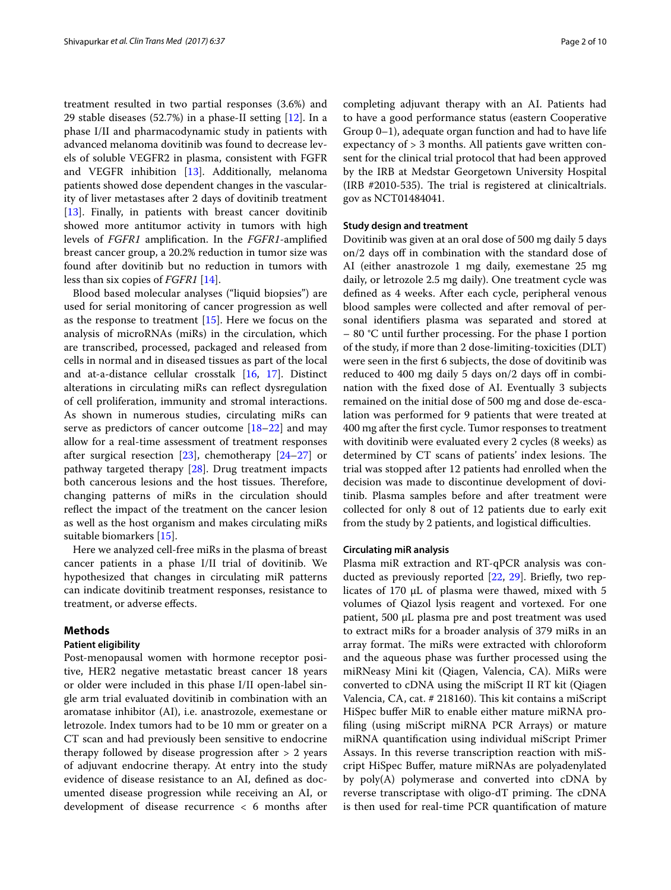treatment resulted in two partial responses (3.6%) and 29 stable diseases (52.7%) in a phase-II setting [[12\]](#page-8-7). In a phase I/II and pharmacodynamic study in patients with advanced melanoma dovitinib was found to decrease levels of soluble VEGFR2 in plasma, consistent with FGFR and VEGFR inhibition [[13](#page-8-8)]. Additionally, melanoma patients showed dose dependent changes in the vascularity of liver metastases after 2 days of dovitinib treatment [[13\]](#page-8-8). Finally, in patients with breast cancer dovitinib showed more antitumor activity in tumors with high levels of *FGFR1* amplifcation. In the *FGFR1*-amplifed breast cancer group, a 20.2% reduction in tumor size was found after dovitinib but no reduction in tumors with less than six copies of *FGFR1* [[14\]](#page-8-9).

Blood based molecular analyses ("liquid biopsies") are used for serial monitoring of cancer progression as well as the response to treatment [\[15](#page-8-10)]. Here we focus on the analysis of microRNAs (miRs) in the circulation, which are transcribed, processed, packaged and released from cells in normal and in diseased tissues as part of the local and at-a-distance cellular crosstalk [\[16](#page-8-11), [17](#page-8-12)]. Distinct alterations in circulating miRs can refect dysregulation of cell proliferation, immunity and stromal interactions. As shown in numerous studies, circulating miRs can serve as predictors of cancer outcome  $[18–22]$  $[18–22]$  $[18–22]$  $[18–22]$  and may allow for a real-time assessment of treatment responses after surgical resection [\[23\]](#page-8-15), chemotherapy [\[24](#page-8-16)[–27\]](#page-8-17) or pathway targeted therapy [\[28\]](#page-8-18). Drug treatment impacts both cancerous lesions and the host tissues. Therefore, changing patterns of miRs in the circulation should refect the impact of the treatment on the cancer lesion as well as the host organism and makes circulating miRs suitable biomarkers [\[15](#page-8-10)].

Here we analyzed cell-free miRs in the plasma of breast cancer patients in a phase I/II trial of dovitinib. We hypothesized that changes in circulating miR patterns can indicate dovitinib treatment responses, resistance to treatment, or adverse efects.

# **Methods**

# **Patient eligibility**

Post-menopausal women with hormone receptor positive, HER2 negative metastatic breast cancer 18 years or older were included in this phase I/II open-label single arm trial evaluated dovitinib in combination with an aromatase inhibitor (AI), i.e. anastrozole, exemestane or letrozole. Index tumors had to be 10 mm or greater on a CT scan and had previously been sensitive to endocrine therapy followed by disease progression after > 2 years of adjuvant endocrine therapy. At entry into the study evidence of disease resistance to an AI, defned as documented disease progression while receiving an AI, or development of disease recurrence < 6 months after completing adjuvant therapy with an AI. Patients had to have a good performance status (eastern Cooperative Group 0–1), adequate organ function and had to have life expectancy of > 3 months. All patients gave written consent for the clinical trial protocol that had been approved by the IRB at Medstar Georgetown University Hospital  $(IRB$  #2010-535). The trial is registered at clinicaltrials. gov as NCT01484041.

# **Study design and treatment**

Dovitinib was given at an oral dose of 500 mg daily 5 days on/2 days off in combination with the standard dose of AI (either anastrozole 1 mg daily, exemestane 25 mg daily, or letrozole 2.5 mg daily). One treatment cycle was defned as 4 weeks. After each cycle, peripheral venous blood samples were collected and after removal of personal identifers plasma was separated and stored at – 80 °C until further processing. For the phase I portion of the study, if more than 2 dose-limiting-toxicities (DLT) were seen in the frst 6 subjects, the dose of dovitinib was reduced to 400 mg daily 5 days on/2 days off in combination with the fxed dose of AI. Eventually 3 subjects remained on the initial dose of 500 mg and dose de-escalation was performed for 9 patients that were treated at 400 mg after the frst cycle. Tumor responses to treatment with dovitinib were evaluated every 2 cycles (8 weeks) as determined by CT scans of patients' index lesions. The trial was stopped after 12 patients had enrolled when the decision was made to discontinue development of dovitinib. Plasma samples before and after treatment were collected for only 8 out of 12 patients due to early exit from the study by 2 patients, and logistical difficulties.

## **Circulating miR analysis**

Plasma miR extraction and RT-qPCR analysis was con-ducted as previously reported [\[22](#page-8-14), [29\]](#page-8-19). Briefly, two replicates of 170  $\mu$ L of plasma were thawed, mixed with 5 volumes of Qiazol lysis reagent and vortexed. For one patient, 500 µL plasma pre and post treatment was used to extract miRs for a broader analysis of 379 miRs in an array format. The miRs were extracted with chloroform and the aqueous phase was further processed using the miRNeasy Mini kit (Qiagen, Valencia, CA). MiRs were converted to cDNA using the miScript II RT kit (Qiagen Valencia, CA, cat. # 218160). This kit contains a miScript HiSpec buffer MiR to enable either mature miRNA profling (using miScript miRNA PCR Arrays) or mature miRNA quantifcation using individual miScript Primer Assays. In this reverse transcription reaction with miScript HiSpec Bufer, mature miRNAs are polyadenylated by poly(A) polymerase and converted into cDNA by reverse transcriptase with oligo-dT priming. The cDNA is then used for real-time PCR quantifcation of mature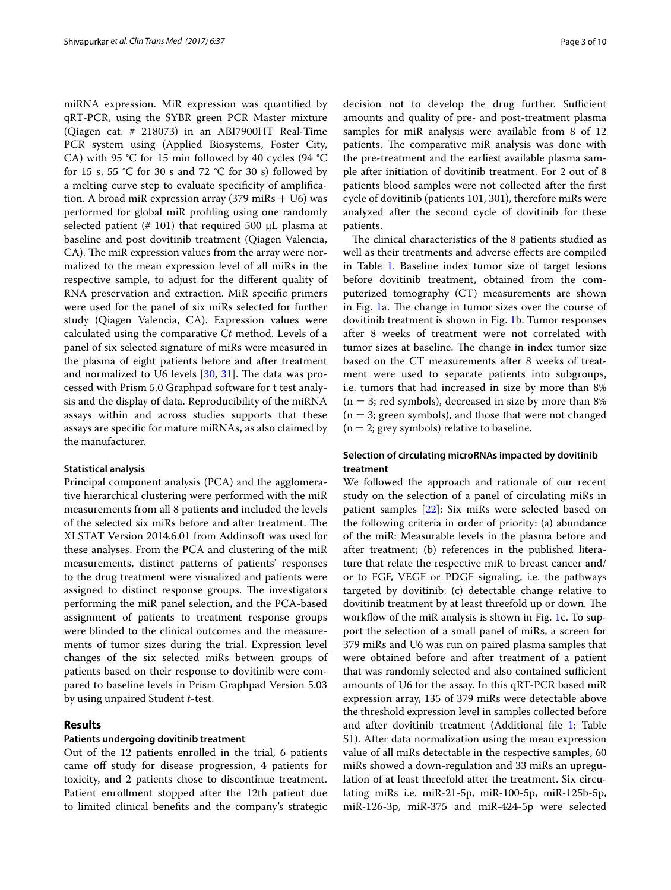miRNA expression. MiR expression was quantifed by qRT-PCR, using the SYBR green PCR Master mixture (Qiagen cat. # 218073) in an ABI7900HT Real-Time PCR system using (Applied Biosystems, Foster City, CA) with 95 °C for 15 min followed by 40 cycles (94 °C for 15 s, 55 °C for 30 s and 72 °C for 30 s) followed by a melting curve step to evaluate specifcity of amplifcation. A broad miR expression array  $(379 \text{ miRs} + 106)$  was performed for global miR profling using one randomly selected patient (# 101) that required 500  $\mu$ L plasma at baseline and post dovitinib treatment (Qiagen Valencia, CA). The miR expression values from the array were normalized to the mean expression level of all miRs in the respective sample, to adjust for the diferent quality of RNA preservation and extraction. MiR specifc primers were used for the panel of six miRs selected for further study (Qiagen Valencia, CA). Expression values were calculated using the comparative C*t* method. Levels of a panel of six selected signature of miRs were measured in the plasma of eight patients before and after treatment and normalized to U6 levels  $[30, 31]$  $[30, 31]$  $[30, 31]$  $[30, 31]$  $[30, 31]$ . The data was processed with Prism 5.0 Graphpad software for t test analysis and the display of data. Reproducibility of the miRNA assays within and across studies supports that these assays are specifc for mature miRNAs, as also claimed by the manufacturer.

## **Statistical analysis**

Principal component analysis (PCA) and the agglomerative hierarchical clustering were performed with the miR measurements from all 8 patients and included the levels of the selected six miRs before and after treatment. The XLSTAT Version 2014.6.01 from Addinsoft was used for these analyses. From the PCA and clustering of the miR measurements, distinct patterns of patients' responses to the drug treatment were visualized and patients were assigned to distinct response groups. The investigators performing the miR panel selection, and the PCA-based assignment of patients to treatment response groups were blinded to the clinical outcomes and the measurements of tumor sizes during the trial. Expression level changes of the six selected miRs between groups of patients based on their response to dovitinib were compared to baseline levels in Prism Graphpad Version 5.03 by using unpaired Student *t*-test.

# <span id="page-2-0"></span>**Results**

## **Patients undergoing dovitinib treatment**

Out of the 12 patients enrolled in the trial, 6 patients came off study for disease progression, 4 patients for toxicity, and 2 patients chose to discontinue treatment. Patient enrollment stopped after the 12th patient due to limited clinical benefts and the company's strategic decision not to develop the drug further. Sufficient amounts and quality of pre- and post-treatment plasma samples for miR analysis were available from 8 of 12 patients. The comparative miR analysis was done with the pre-treatment and the earliest available plasma sample after initiation of dovitinib treatment. For 2 out of 8 patients blood samples were not collected after the frst cycle of dovitinib (patients 101, 301), therefore miRs were analyzed after the second cycle of dovitinib for these patients.

The clinical characteristics of the 8 patients studied as well as their treatments and adverse efects are compiled in Table [1.](#page-3-0) Baseline index tumor size of target lesions before dovitinib treatment, obtained from the computerized tomography (CT) measurements are shown in Fig. [1](#page-4-0)a. The change in tumor sizes over the course of dovitinib treatment is shown in Fig. [1](#page-4-0)b. Tumor responses after 8 weeks of treatment were not correlated with tumor sizes at baseline. The change in index tumor size based on the CT measurements after 8 weeks of treatment were used to separate patients into subgroups, i.e. tumors that had increased in size by more than 8%  $(n = 3;$  red symbols), decreased in size by more than 8%  $(n = 3;$  green symbols), and those that were not changed  $(n = 2;$  grey symbols) relative to baseline.

# **Selection of circulating microRNAs impacted by dovitinib treatment**

We followed the approach and rationale of our recent study on the selection of a panel of circulating miRs in patient samples [[22](#page-8-14)]: Six miRs were selected based on the following criteria in order of priority: (a) abundance of the miR: Measurable levels in the plasma before and after treatment; (b) references in the published literature that relate the respective miR to breast cancer and/ or to FGF, VEGF or PDGF signaling, i.e. the pathways targeted by dovitinib; (c) detectable change relative to dovitinib treatment by at least threefold up or down. The workflow of the miR analysis is shown in Fig. [1c](#page-4-0). To support the selection of a small panel of miRs, a screen for 379 miRs and U6 was run on paired plasma samples that were obtained before and after treatment of a patient that was randomly selected and also contained sufficient amounts of U6 for the assay. In this qRT-PCR based miR expression array, 135 of 379 miRs were detectable above the threshold expression level in samples collected before and after dovitinib treatment (Additional fle [1](#page-7-0): Table S1). After data normalization using the mean expression value of all miRs detectable in the respective samples, 60 miRs showed a down-regulation and 33 miRs an upregulation of at least threefold after the treatment. Six circulating miRs i.e. miR-21-5p, miR-100-5p, miR-125b-5p, miR-126-3p, miR-375 and miR-424-5p were selected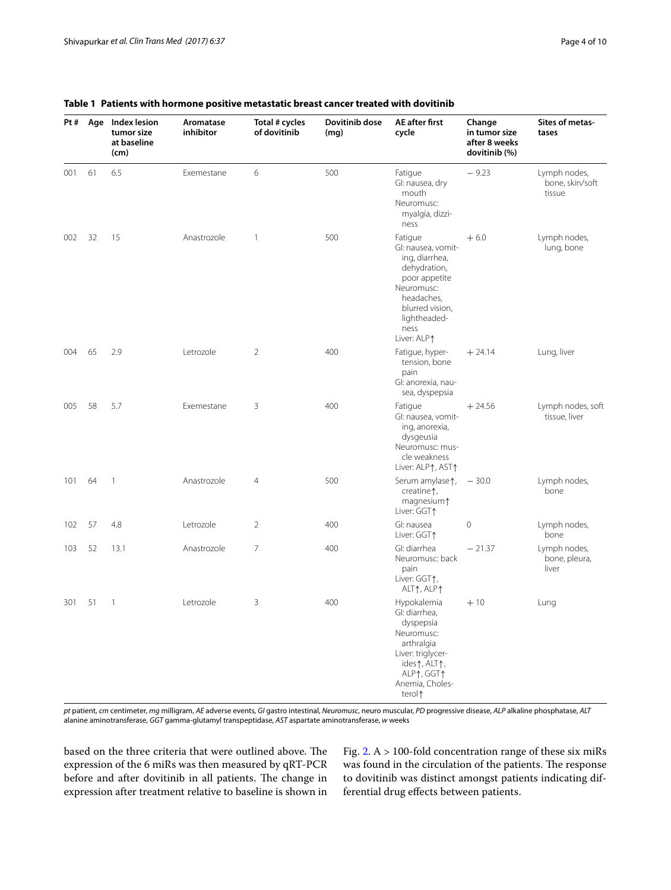| Pt# | Age | Index lesion<br>tumor size<br>at baseline<br>(cm) | Aromatase<br>inhibitor | Total # cycles<br>of dovitinib | Dovitinib dose<br>(mq) | AE after first<br>cycle                                                                                                                                                | Change<br>in tumor size<br>after 8 weeks<br>dovitinib (%) | Sites of metas-<br>tases                  |
|-----|-----|---------------------------------------------------|------------------------|--------------------------------|------------------------|------------------------------------------------------------------------------------------------------------------------------------------------------------------------|-----------------------------------------------------------|-------------------------------------------|
| 001 | 61  | 6.5                                               | Exemestane             | 6                              | 500                    | Fatigue<br>GI: nausea, dry<br>mouth<br>Neuromusc:<br>myalgia, dizzi-<br>ness                                                                                           | $-9.23$                                                   | Lymph nodes,<br>bone, skin/soft<br>tissue |
| 002 | 32  | 15                                                | Anastrozole            | $\mathbf{1}$                   | 500                    | Fatigue<br>Gl: nausea, vomit-<br>ing, diarrhea,<br>dehydration,<br>poor appetite<br>Neuromusc:<br>headaches,<br>blurred vision,<br>lightheaded-<br>ness<br>Liver: ALP↑ | $+6.0$                                                    | Lymph nodes,<br>lung, bone                |
| 004 | 65  | 2.9                                               | Letrozole              | $\overline{2}$                 | 400                    | Fatigue, hyper-<br>tension, bone<br>pain<br>Gl: anorexia, nau-<br>sea, dyspepsia                                                                                       | $+24.14$                                                  | Lung, liver                               |
| 005 | 58  | 5.7                                               | Exemestane             | 3                              | 400                    | Fatigue<br>Gl: nausea, vomit-<br>ing, anorexia,<br>dysgeusia<br>Neuromusc: mus-<br>cle weakness<br>Liver: ALP1, AST1                                                   | $+24.56$                                                  | Lymph nodes, soft<br>tissue, liver        |
| 101 | 64  | $\mathbf{1}$                                      | Anastrozole            | $\overline{4}$                 | 500                    | Serum amylase 1,<br>creatine <sup>1</sup> ,<br>magnesium <sup>1</sup><br>Liver: GGT1                                                                                   | $-30.0$                                                   | Lymph nodes,<br>bone                      |
| 102 | 57  | 4.8                                               | Letrozole              | $\overline{2}$                 | 400                    | GI: nausea<br>Liver: GGT1                                                                                                                                              | $\mathbf{0}$                                              | Lymph nodes,<br>bone                      |
| 103 | 52  | 13.1                                              | Anastrozole            | $\overline{7}$                 | 400                    | GI: diarrhea<br>Neuromusc: back<br>pain<br>Liver: GGT1,<br>ALT↑, ALP↑                                                                                                  | $-21.37$                                                  | Lymph nodes,<br>bone, pleura,<br>liver    |
| 301 | 51  | $\mathbf{1}$                                      | Letrozole              | 3                              | 400                    | Hypokalemia<br>GI: diarrhea,<br>dyspepsia<br>Neuromusc:<br>arthralgia<br>Liver: triglycer-<br>ides 1, ALT1,<br>ALP1, GGT1<br>Anemia, Choles-<br>terol <sup>1</sup>     | $+10$                                                     | Lung                                      |

# <span id="page-3-0"></span>**Table 1 Patients with hormone positive metastatic breast cancer treated with dovitinib**

pt patient, cm centimeter, mg milligram, AE adverse events, GI gastro intestinal, Neuromusc, neuro muscular, PD progressive disease, ALP alkaline phosphatase, ALT alanine aminotransferase, *GGT* gamma-glutamyl transpeptidase, *AST* aspartate aminotransferase, *w* weeks

based on the three criteria that were outlined above. The expression of the 6 miRs was then measured by qRT-PCR before and after dovitinib in all patients. The change in expression after treatment relative to baseline is shown in

Fig. [2.](#page-5-0) A > 100-fold concentration range of these six miRs was found in the circulation of the patients. The response to dovitinib was distinct amongst patients indicating differential drug efects between patients.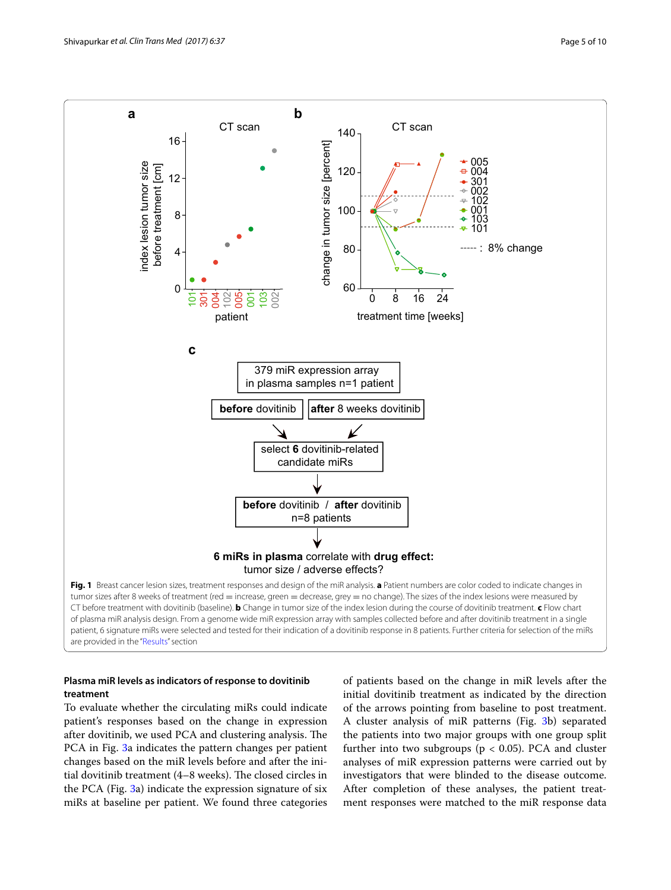

# <span id="page-4-0"></span>**Plasma miR levels as indicators of response to dovitinib treatment**

To evaluate whether the circulating miRs could indicate patient's responses based on the change in expression after dovitinib, we used PCA and clustering analysis. The PCA in Fig. [3](#page-6-0)a indicates the pattern changes per patient changes based on the miR levels before and after the initial dovitinib treatment  $(4-8$  weeks). The closed circles in the PCA (Fig. [3](#page-6-0)a) indicate the expression signature of six miRs at baseline per patient. We found three categories

of patients based on the change in miR levels after the initial dovitinib treatment as indicated by the direction of the arrows pointing from baseline to post treatment. A cluster analysis of miR patterns (Fig. [3](#page-6-0)b) separated the patients into two major groups with one group split further into two subgroups ( $p < 0.05$ ). PCA and cluster analyses of miR expression patterns were carried out by investigators that were blinded to the disease outcome. After completion of these analyses, the patient treatment responses were matched to the miR response data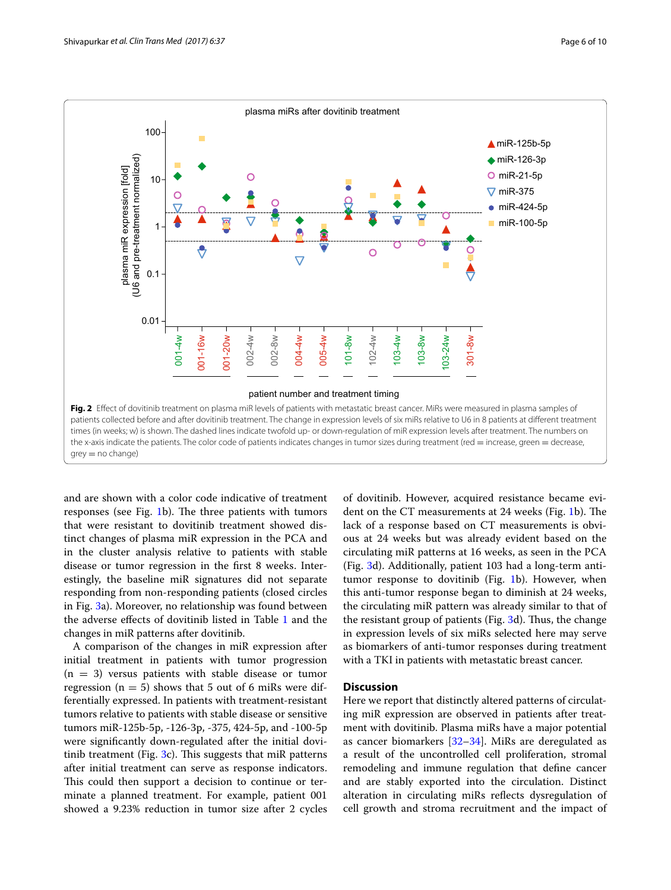

<span id="page-5-0"></span>and are shown with a color code indicative of treatment responses (see Fig. [1](#page-4-0)b). The three patients with tumors that were resistant to dovitinib treatment showed distinct changes of plasma miR expression in the PCA and in the cluster analysis relative to patients with stable disease or tumor regression in the frst 8 weeks. Interestingly, the baseline miR signatures did not separate responding from non-responding patients (closed circles in Fig. [3a](#page-6-0)). Moreover, no relationship was found between the adverse efects of dovitinib listed in Table [1](#page-3-0) and the changes in miR patterns after dovitinib.

A comparison of the changes in miR expression after initial treatment in patients with tumor progression  $(n = 3)$  versus patients with stable disease or tumor regression ( $n = 5$ ) shows that 5 out of 6 miRs were differentially expressed. In patients with treatment-resistant tumors relative to patients with stable disease or sensitive tumors miR-125b-5p, -126-3p, -375, 424-5p, and -100-5p were signifcantly down-regulated after the initial dovitinib treatment (Fig.  $3c$ ). This suggests that miR patterns after initial treatment can serve as response indicators. This could then support a decision to continue or terminate a planned treatment. For example, patient 001 showed a 9.23% reduction in tumor size after 2 cycles of dovitinib. However, acquired resistance became evi-dent on the CT measurements at 24 weeks (Fig. [1b](#page-4-0)). The lack of a response based on CT measurements is obvious at 24 weeks but was already evident based on the circulating miR patterns at 16 weeks, as seen in the PCA (Fig. [3d](#page-6-0)). Additionally, patient 103 had a long-term antitumor response to dovitinib (Fig. [1b](#page-4-0)). However, when this anti-tumor response began to diminish at 24 weeks, the circulating miR pattern was already similar to that of the resistant group of patients (Fig.  $3d$ ). Thus, the change in expression levels of six miRs selected here may serve as biomarkers of anti-tumor responses during treatment with a TKI in patients with metastatic breast cancer.

# **Discussion**

Here we report that distinctly altered patterns of circulating miR expression are observed in patients after treatment with dovitinib. Plasma miRs have a major potential as cancer biomarkers [\[32–](#page-8-22)[34\]](#page-8-23). MiRs are deregulated as a result of the uncontrolled cell proliferation, stromal remodeling and immune regulation that defne cancer and are stably exported into the circulation. Distinct alteration in circulating miRs refects dysregulation of cell growth and stroma recruitment and the impact of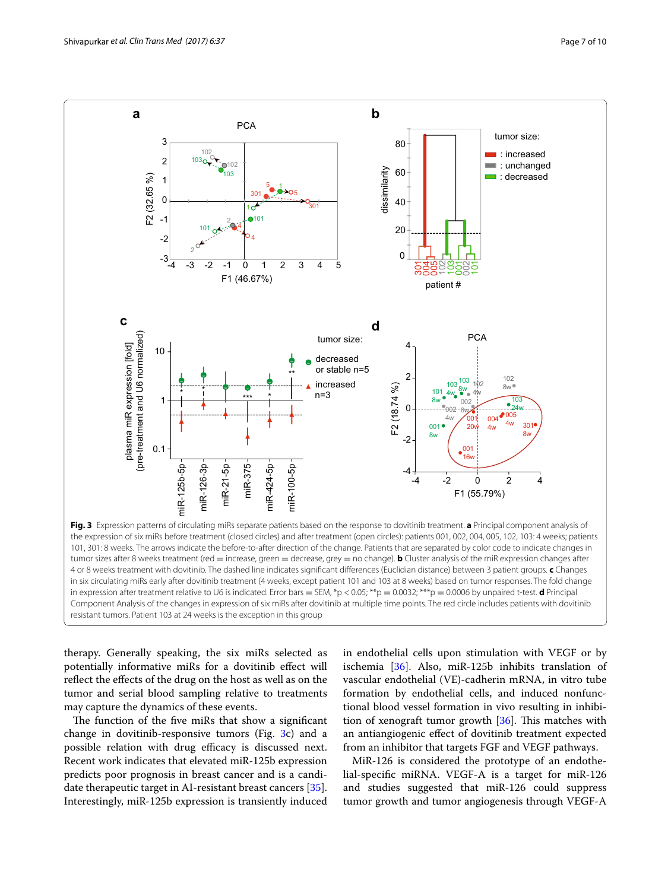

<span id="page-6-0"></span>therapy. Generally speaking, the six miRs selected as potentially informative miRs for a dovitinib efect will refect the efects of the drug on the host as well as on the tumor and serial blood sampling relative to treatments may capture the dynamics of these events.

The function of the five miRs that show a significant change in dovitinib-responsive tumors (Fig. [3c](#page-6-0)) and a possible relation with drug efficacy is discussed next. Recent work indicates that elevated miR-125b expression predicts poor prognosis in breast cancer and is a candidate therapeutic target in AI-resistant breast cancers [\[35](#page-8-24)]. Interestingly, miR-125b expression is transiently induced in endothelial cells upon stimulation with VEGF or by ischemia [[36\]](#page-8-25). Also, miR-125b inhibits translation of vascular endothelial (VE)-cadherin mRNA, in vitro tube formation by endothelial cells, and induced nonfunctional blood vessel formation in vivo resulting in inhibition of xenograft tumor growth  $[36]$  $[36]$  $[36]$ . This matches with an antiangiogenic efect of dovitinib treatment expected from an inhibitor that targets FGF and VEGF pathways.

MiR-126 is considered the prototype of an endothelial-specifc miRNA. VEGF-A is a target for miR-126 and studies suggested that miR-126 could suppress tumor growth and tumor angiogenesis through VEGF-A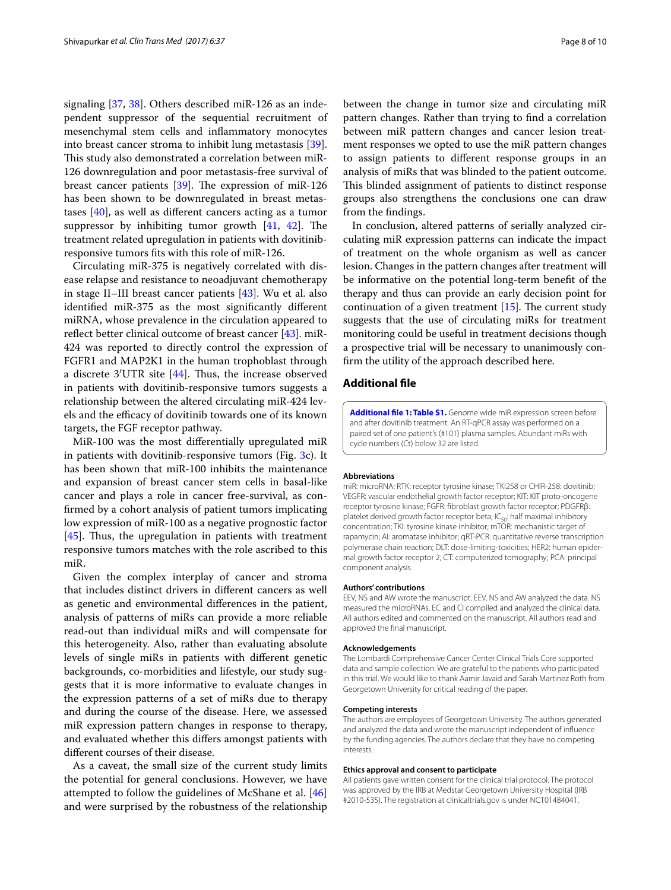signaling [\[37](#page-9-0), [38](#page-9-1)]. Others described miR-126 as an independent suppressor of the sequential recruitment of mesenchymal stem cells and infammatory monocytes into breast cancer stroma to inhibit lung metastasis [\[39](#page-9-2)]. This study also demonstrated a correlation between miR-126 downregulation and poor metastasis-free survival of breast cancer patients  $[39]$  $[39]$ . The expression of miR-126 has been shown to be downregulated in breast metastases [\[40](#page-9-3)], as well as diferent cancers acting as a tumor suppressor by inhibiting tumor growth  $[41, 42]$  $[41, 42]$  $[41, 42]$  $[41, 42]$  $[41, 42]$ . The treatment related upregulation in patients with dovitinibresponsive tumors fts with this role of miR-126.

Circulating miR-375 is negatively correlated with disease relapse and resistance to neoadjuvant chemotherapy in stage II–III breast cancer patients [[43\]](#page-9-6). Wu et al. also identifed miR-375 as the most signifcantly diferent miRNA, whose prevalence in the circulation appeared to reflect better clinical outcome of breast cancer [[43](#page-9-6)]. miR-424 was reported to directly control the expression of FGFR1 and MAP2K1 in the human trophoblast through a discrete  $3'UTR$  site  $[44]$  $[44]$ . Thus, the increase observed in patients with dovitinib-responsive tumors suggests a relationship between the altered circulating miR-424 levels and the efficacy of dovitinib towards one of its known targets, the FGF receptor pathway.

MiR-100 was the most diferentially upregulated miR in patients with dovitinib-responsive tumors (Fig. [3](#page-6-0)c). It has been shown that miR-100 inhibits the maintenance and expansion of breast cancer stem cells in basal-like cancer and plays a role in cancer free-survival, as confrmed by a cohort analysis of patient tumors implicating low expression of miR-100 as a negative prognostic factor [[45\]](#page-9-8). Thus, the upregulation in patients with treatment responsive tumors matches with the role ascribed to this miR.

Given the complex interplay of cancer and stroma that includes distinct drivers in diferent cancers as well as genetic and environmental diferences in the patient, analysis of patterns of miRs can provide a more reliable read-out than individual miRs and will compensate for this heterogeneity. Also, rather than evaluating absolute levels of single miRs in patients with diferent genetic backgrounds, co-morbidities and lifestyle, our study suggests that it is more informative to evaluate changes in the expression patterns of a set of miRs due to therapy and during the course of the disease. Here, we assessed miR expression pattern changes in response to therapy, and evaluated whether this difers amongst patients with diferent courses of their disease.

As a caveat, the small size of the current study limits the potential for general conclusions. However, we have attempted to follow the guidelines of McShane et al. [[46](#page-9-9)] and were surprised by the robustness of the relationship

between the change in tumor size and circulating miR pattern changes. Rather than trying to fnd a correlation between miR pattern changes and cancer lesion treatment responses we opted to use the miR pattern changes to assign patients to diferent response groups in an analysis of miRs that was blinded to the patient outcome. This blinded assignment of patients to distinct response groups also strengthens the conclusions one can draw from the fndings.

In conclusion, altered patterns of serially analyzed circulating miR expression patterns can indicate the impact of treatment on the whole organism as well as cancer lesion. Changes in the pattern changes after treatment will be informative on the potential long-term beneft of the therapy and thus can provide an early decision point for continuation of a given treatment  $[15]$  $[15]$ . The current study suggests that the use of circulating miRs for treatment monitoring could be useful in treatment decisions though a prospective trial will be necessary to unanimously confrm the utility of the approach described here.

# **Additional fle**

<span id="page-7-0"></span>**[Additional fle 1: Table S1.](http://dx.doi.org/10.1186/s40169-017-0169-y)** Genome wide miR expression screen before and after dovitinib treatment. An RT-qPCR assay was performed on a paired set of one patient's (#101) plasma samples. Abundant miRs with cycle numbers (Ct) below 32 are listed.

## **Abbreviations**

miR: microRNA; RTK: receptor tyrosine kinase; TKI258 or CHIR-258: dovitinib; VEGFR: vascular endothelial growth factor receptor; KIT: KIT proto-oncogene receptor tyrosine kinase; FGFR: fbroblast growth factor receptor; PDGFRβ: platelet derived growth factor receptor beta;  $IC_{50}$ : half maximal inhibitory concentration; TKI: tyrosine kinase inhibitor; mTOR: mechanistic target of rapamycin; AI: aromatase inhibitor; qRT-PCR: quantitative reverse transcription polymerase chain reaction; DLT: dose-limiting-toxicities; HER2: human epidermal growth factor receptor 2; CT: computerized tomography; PCA: principal component analysis.

#### **Authors' contributions**

EEV, NS and AW wrote the manuscript. EEV, NS and AW analyzed the data. NS measured the microRNAs. EC and CI compiled and analyzed the clinical data. All authors edited and commented on the manuscript. All authors read and approved the fnal manuscript.

### **Acknowledgements**

The Lombardi Comprehensive Cancer Center Clinical Trials Core supported data and sample collection. We are grateful to the patients who participated in this trial. We would like to thank Aamir Javaid and Sarah Martinez Roth from Georgetown University for critical reading of the paper.

#### **Competing interests**

The authors are employees of Georgetown University. The authors generated and analyzed the data and wrote the manuscript independent of infuence by the funding agencies. The authors declare that they have no competing interests.

#### **Ethics approval and consent to participate**

All patients gave written consent for the clinical trial protocol. The protocol was approved by the IRB at Medstar Georgetown University Hospital (IRB #2010-535). The registration at clinicaltrials.gov is under NCT01484041.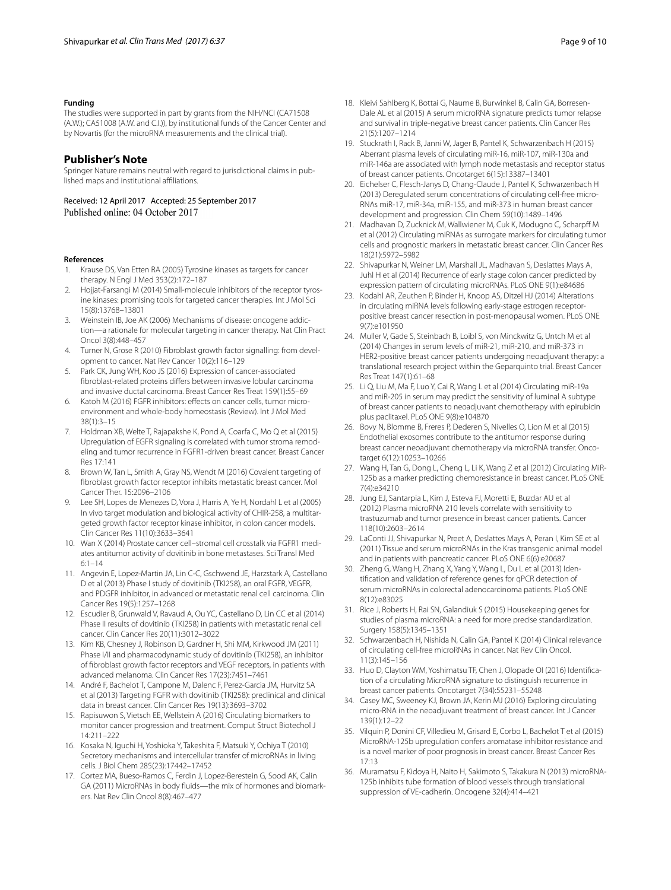## **Funding**

The studies were supported in part by grants from the NIH/NCI (CA71508 (A.W.); CA51008 (A.W. and C.I.)), by institutional funds of the Cancer Center and by Novartis (for the microRNA measurements and the clinical trial).

# **Publisher's Note**

Springer Nature remains neutral with regard to jurisdictional claims in published maps and institutional afliations.

Received: 12 April 2017 Accepted: 25 September 2017 Published online: 04 October 2017

### **References**

- <span id="page-8-0"></span>1. Krause DS, Van Etten RA (2005) Tyrosine kinases as targets for cancer therapy. N Engl J Med 353(2):172–187
- 2. Hojjat-Farsangi M (2014) Small-molecule inhibitors of the receptor tyrosine kinases: promising tools for targeted cancer therapies. Int J Mol Sci 15(8):13768–13801
- <span id="page-8-1"></span>3. Weinstein IB, Joe AK (2006) Mechanisms of disease: oncogene addiction—a rationale for molecular targeting in cancer therapy. Nat Clin Pract Oncol 3(8):448–457
- <span id="page-8-2"></span>4. Turner N, Grose R (2010) Fibroblast growth factor signalling: from development to cancer. Nat Rev Cancer 10(2):116–129
- 5. Park CK, Jung WH, Koo JS (2016) Expression of cancer-associated fbroblast-related proteins difers between invasive lobular carcinoma and invasive ductal carcinoma. Breast Cancer Res Treat 159(1):55–69
- 6. Katoh M (2016) FGFR inhibitors: efects on cancer cells, tumor microenvironment and whole-body homeostasis (Review). Int J Mol Med 38(1):3–15
- 7. Holdman XB, Welte T, Rajapakshe K, Pond A, Coarfa C, Mo Q et al (2015) Upregulation of EGFR signaling is correlated with tumor stroma remodeling and tumor recurrence in FGFR1-driven breast cancer. Breast Cancer Res 17:141
- <span id="page-8-3"></span>8. Brown W, Tan L, Smith A, Gray NS, Wendt M (2016) Covalent targeting of fbroblast growth factor receptor inhibits metastatic breast cancer. Mol Cancer Ther. 15:2096–2106
- <span id="page-8-4"></span>9. Lee SH, Lopes de Menezes D, Vora J, Harris A, Ye H, Nordahl L et al (2005) In vivo target modulation and biological activity of CHIR-258, a multitargeted growth factor receptor kinase inhibitor, in colon cancer models. Clin Cancer Res 11(10):3633–3641
- <span id="page-8-5"></span>10. Wan X (2014) Prostate cancer cell–stromal cell crosstalk via FGFR1 mediates antitumor activity of dovitinib in bone metastases. Sci Transl Med  $6:1 - 14$
- <span id="page-8-6"></span>11. Angevin E, Lopez-Martin JA, Lin C-C, Gschwend JE, Harzstark A, Castellano D et al (2013) Phase I study of dovitinib (TKI258), an oral FGFR, VEGFR, and PDGFR inhibitor, in advanced or metastatic renal cell carcinoma. Clin Cancer Res 19(5):1257–1268
- <span id="page-8-7"></span>12. Escudier B, Grunwald V, Ravaud A, Ou YC, Castellano D, Lin CC et al (2014) Phase II results of dovitinib (TKI258) in patients with metastatic renal cell cancer. Clin Cancer Res 20(11):3012–3022
- <span id="page-8-8"></span>13. Kim KB, Chesney J, Robinson D, Gardner H, Shi MM, Kirkwood JM (2011) Phase I/II and pharmacodynamic study of dovitinib (TKI258), an inhibitor of fbroblast growth factor receptors and VEGF receptors, in patients with advanced melanoma. Clin Cancer Res 17(23):7451–7461
- <span id="page-8-9"></span>14. André F, Bachelot T, Campone M, Dalenc F, Perez-Garcia JM, Hurvitz SA et al (2013) Targeting FGFR with dovitinib (TKI258): preclinical and clinical data in breast cancer. Clin Cancer Res 19(13):3693–3702
- <span id="page-8-10"></span>15. Rapisuwon S, Vietsch EE, Wellstein A (2016) Circulating biomarkers to monitor cancer progression and treatment. Comput Struct Biotechol J 14:211–222
- <span id="page-8-11"></span>16. Kosaka N, Iguchi H, Yoshioka Y, Takeshita F, Matsuki Y, Ochiya T (2010) Secretory mechanisms and intercellular transfer of microRNAs in living cells. J Biol Chem 285(23):17442–17452
- <span id="page-8-12"></span>17. Cortez MA, Bueso-Ramos C, Ferdin J, Lopez-Berestein G, Sood AK, Calin GA (2011) MicroRNAs in body fuids—the mix of hormones and biomarkers. Nat Rev Clin Oncol 8(8):467–477
- <span id="page-8-13"></span>18. Kleivi Sahlberg K, Bottai G, Naume B, Burwinkel B, Calin GA, Borresen-Dale AL et al (2015) A serum microRNA signature predicts tumor relapse and survival in triple-negative breast cancer patients. Clin Cancer Res 21(5):1207–1214
- 19. Stuckrath I, Rack B, Janni W, Jager B, Pantel K, Schwarzenbach H (2015) Aberrant plasma levels of circulating miR-16, miR-107, miR-130a and miR-146a are associated with lymph node metastasis and receptor status of breast cancer patients. Oncotarget 6(15):13387–13401
- 20. Eichelser C, Flesch-Janys D, Chang-Claude J, Pantel K, Schwarzenbach H (2013) Deregulated serum concentrations of circulating cell-free micro-RNAs miR-17, miR-34a, miR-155, and miR-373 in human breast cancer development and progression. Clin Chem 59(10):1489–1496
- 21. Madhavan D, Zucknick M, Wallwiener M, Cuk K, Modugno C, Scharpf M et al (2012) Circulating miRNAs as surrogate markers for circulating tumor cells and prognostic markers in metastatic breast cancer. Clin Cancer Res 18(21):5972–5982
- <span id="page-8-14"></span>22. Shivapurkar N, Weiner LM, Marshall JL, Madhavan S, Deslattes Mays A, Juhl H et al (2014) Recurrence of early stage colon cancer predicted by expression pattern of circulating microRNAs. PLoS ONE 9(1):e84686
- <span id="page-8-15"></span>23. Kodahl AR, Zeuthen P, Binder H, Knoop AS, Ditzel HJ (2014) Alterations in circulating miRNA levels following early-stage estrogen receptorpositive breast cancer resection in post-menopausal women. PLoS ONE 9(7):e101950
- <span id="page-8-16"></span>24. Muller V, Gade S, Steinbach B, Loibl S, von Minckwitz G, Untch M et al (2014) Changes in serum levels of miR-21, miR-210, and miR-373 in HER2-positive breast cancer patients undergoing neoadjuvant therapy: a translational research project within the Geparquinto trial. Breast Cancer Res Treat 147(1):61–68
- 25. Li Q, Liu M, Ma F, Luo Y, Cai R, Wang L et al (2014) Circulating miR-19a and miR-205 in serum may predict the sensitivity of luminal A subtype of breast cancer patients to neoadjuvant chemotherapy with epirubicin plus paclitaxel. PLoS ONE 9(8):e104870
- 26. Bovy N, Blomme B, Freres P, Dederen S, Nivelles O, Lion M et al (2015) Endothelial exosomes contribute to the antitumor response during breast cancer neoadjuvant chemotherapy via microRNA transfer. Oncotarget 6(12):10253–10266
- <span id="page-8-17"></span>27. Wang H, Tan G, Dong L, Cheng L, Li K, Wang Z et al (2012) Circulating MiR-125b as a marker predicting chemoresistance in breast cancer. PLoS ONE 7(4):e34210
- <span id="page-8-18"></span>28. Jung EJ, Santarpia L, Kim J, Esteva FJ, Moretti E, Buzdar AU et al (2012) Plasma microRNA 210 levels correlate with sensitivity to trastuzumab and tumor presence in breast cancer patients. Cancer 118(10):2603–2614
- <span id="page-8-19"></span>29. LaConti JJ, Shivapurkar N, Preet A, Deslattes Mays A, Peran I, Kim SE et al (2011) Tissue and serum microRNAs in the Kras transgenic animal model and in patients with pancreatic cancer. PLoS ONE 6(6):e20687
- <span id="page-8-20"></span>30. Zheng G, Wang H, Zhang X, Yang Y, Wang L, Du L et al (2013) Identifcation and validation of reference genes for qPCR detection of serum microRNAs in colorectal adenocarcinoma patients. PLoS ONE 8(12):e83025
- <span id="page-8-21"></span>31. Rice J, Roberts H, Rai SN, Galandiuk S (2015) Housekeeping genes for studies of plasma microRNA: a need for more precise standardization. Surgery 158(5):1345–1351
- <span id="page-8-22"></span>32. Schwarzenbach H, Nishida N, Calin GA, Pantel K (2014) Clinical relevance of circulating cell-free microRNAs in cancer. Nat Rev Clin Oncol. 11(3):145–156
- 33. Huo D, Clayton WM, Yoshimatsu TF, Chen J, Olopade OI (2016) Identifcation of a circulating MicroRNA signature to distinguish recurrence in breast cancer patients. Oncotarget 7(34):55231–55248
- <span id="page-8-23"></span>34. Casey MC, Sweeney KJ, Brown JA, Kerin MJ (2016) Exploring circulating micro-RNA in the neoadjuvant treatment of breast cancer. Int J Cancer 139(1):12–22
- <span id="page-8-24"></span>35. Vilquin P, Donini CF, Villedieu M, Grisard E, Corbo L, Bachelot T et al (2015) MicroRNA-125b upregulation confers aromatase inhibitor resistance and is a novel marker of poor prognosis in breast cancer. Breast Cancer Res 17:13
- <span id="page-8-25"></span>36. Muramatsu F, Kidoya H, Naito H, Sakimoto S, Takakura N (2013) microRNA-125b inhibits tube formation of blood vessels through translational suppression of VE-cadherin. Oncogene 32(4):414–421